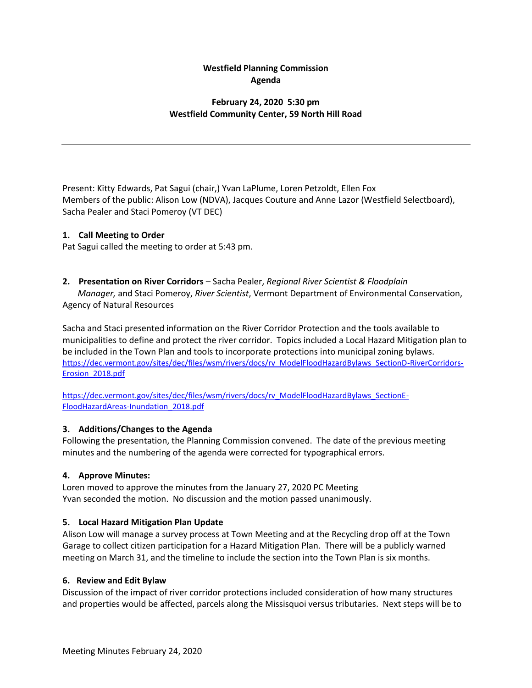# **Westfield Planning Commission Agenda**

# **February 24, 2020 5:30 pm Westfield Community Center, 59 North Hill Road**

Present: Kitty Edwards, Pat Sagui (chair,) Yvan LaPlume, Loren Petzoldt, Ellen Fox Members of the public: Alison Low (NDVA), Jacques Couture and Anne Lazor (Westfield Selectboard), Sacha Pealer and Staci Pomeroy (VT DEC)

#### **1. Call Meeting to Order**

Pat Sagui called the meeting to order at 5:43 pm.

## **2. Presentation on River Corridors** – Sacha Pealer, *Regional River Scientist & Floodplain*

 *Manager,* and Staci Pomeroy, *River Scientist*, Vermont Department of Environmental Conservation, Agency of Natural Resources

Sacha and Staci presented information on the River Corridor Protection and the tools available to municipalities to define and protect the river corridor. Topics included a Local Hazard Mitigation plan to be included in the Town Plan and tools to incorporate protections into municipal zoning bylaws. [https://dec.vermont.gov/sites/dec/files/wsm/rivers/docs/rv\\_ModelFloodHazardBylaws\\_SectionD-RiverCorridors-](https://dec.vermont.gov/sites/dec/files/wsm/rivers/docs/rv_ModelFloodHazardBylaws_SectionD-RiverCorridors-Erosion_2018.pdf)[Erosion\\_2018.pdf](https://dec.vermont.gov/sites/dec/files/wsm/rivers/docs/rv_ModelFloodHazardBylaws_SectionD-RiverCorridors-Erosion_2018.pdf)

[https://dec.vermont.gov/sites/dec/files/wsm/rivers/docs/rv\\_ModelFloodHazardBylaws\\_SectionE-](https://dec.vermont.gov/sites/dec/files/wsm/rivers/docs/rv_ModelFloodHazardBylaws_SectionE-FloodHazardAreas-Inundation_2018.pdf)[FloodHazardAreas-Inundation\\_2018.pdf](https://dec.vermont.gov/sites/dec/files/wsm/rivers/docs/rv_ModelFloodHazardBylaws_SectionE-FloodHazardAreas-Inundation_2018.pdf)

#### **3. Additions/Changes to the Agenda**

Following the presentation, the Planning Commission convened. The date of the previous meeting minutes and the numbering of the agenda were corrected for typographical errors.

#### **4. Approve Minutes:**

Loren moved to approve the minutes from the January 27, 2020 PC Meeting Yvan seconded the motion. No discussion and the motion passed unanimously.

#### **5. Local Hazard Mitigation Plan Update**

Alison Low will manage a survey process at Town Meeting and at the Recycling drop off at the Town Garage to collect citizen participation for a Hazard Mitigation Plan. There will be a publicly warned meeting on March 31, and the timeline to include the section into the Town Plan is six months.

#### **6. Review and Edit Bylaw**

Discussion of the impact of river corridor protections included consideration of how many structures and properties would be affected, parcels along the Missisquoi versus tributaries. Next steps will be to